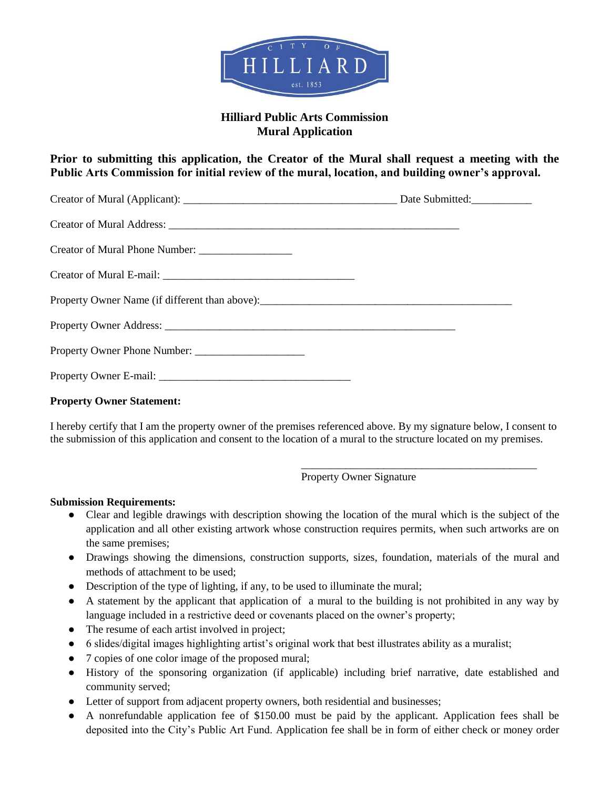

## **Hilliard Public Arts Commission Mural Application**

**Prior to submitting this application, the Creator of the Mural shall request a meeting with the Public Arts Commission for initial review of the mural, location, and building owner's approval.**

## **Property Owner Statement:**

I hereby certify that I am the property owner of the premises referenced above. By my signature below, I consent to the submission of this application and consent to the location of a mural to the structure located on my premises.

Property Owner Signature

\_\_\_\_\_\_\_\_\_\_\_\_\_\_\_\_\_\_\_\_\_\_\_\_\_\_\_\_\_\_\_\_\_\_\_\_\_\_\_\_\_\_\_

## **Submission Requirements:**

- Clear and legible drawings with description showing the location of the mural which is the subject of the application and all other existing artwork whose construction requires permits, when such artworks are on the same premises;
- Drawings showing the dimensions, construction supports, sizes, foundation, materials of the mural and methods of attachment to be used;
- Description of the type of lighting, if any, to be used to illuminate the mural;
- A statement by the applicant that application of a mural to the building is not prohibited in any way by language included in a restrictive deed or covenants placed on the owner's property;
- The resume of each artist involved in project;
- 6 slides/digital images highlighting artist's original work that best illustrates ability as a muralist;
- 7 copies of one color image of the proposed mural;
- History of the sponsoring organization (if applicable) including brief narrative, date established and community served;
- Letter of support from adjacent property owners, both residential and businesses;
- A nonrefundable application fee of \$150.00 must be paid by the applicant. Application fees shall be deposited into the City's Public Art Fund. Application fee shall be in form of either check or money order